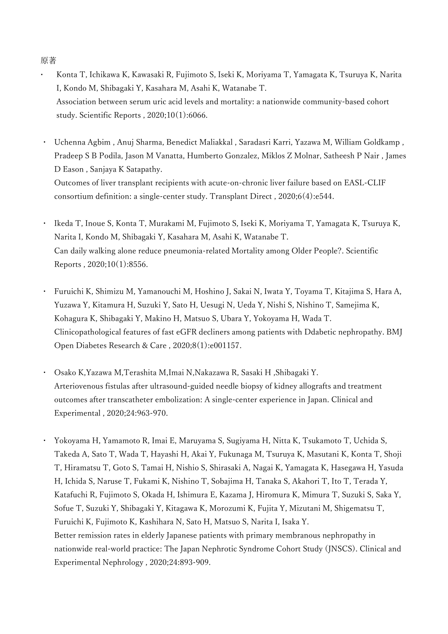## 原著

- Konta T, Ichikawa K, Kawasaki R, Fujimoto S, Iseki K, Moriyama T, Yamagata K, Tsuruya K, Narita I, Kondo M, Shibagaki Y, Kasahara M, Asahi K, Watanabe T. Association between serum uric acid levels and mortality: a nationwide community-based cohort study. Scientific Reports , 2020;10(1):6066.
- Uchenna Agbim , Anuj Sharma, Benedict Maliakkal , Saradasri Karri, Yazawa M, William Goldkamp , Pradeep S B Podila, Jason M Vanatta, Humberto Gonzalez, Miklos Z Molnar, Satheesh P Nair , James D Eason , Sanjaya K Satapathy. Outcomes of liver transplant recipients with acute-on-chronic liver failure based on EASL-CLIF consortium definition: a single-center study. Transplant Direct , 2020;6(4):e544.
- Ikeda T, Inoue S, Konta T, Murakami M, Fujimoto S, Iseki K, Moriyama T, Yamagata K, Tsuruya K, Narita I, Kondo M, Shibagaki Y, Kasahara M, Asahi K, Watanabe T. Can daily walking alone reduce pneumonia-related Mortality among Older People?. Scientific Reports , 2020;10(1):8556.
- ・ Furuichi K, Shimizu M, Yamanouchi M, Hoshino J, Sakai N, Iwata Y, Toyama T, Kitajima S, Hara A, Yuzawa Y, Kitamura H, Suzuki Y, Sato H, Uesugi N, Ueda Y, Nishi S, Nishino T, Samejima K, Kohagura K, Shibagaki Y, Makino H, Matsuo S, Ubara Y, Yokoyama H, Wada T. Clinicopathological features of fast eGFR decliners among patients with Ddabetic nephropathy. BMJ Open Diabetes Research & Care , 2020;8(1):e001157.
- ・ Osako K,Yazawa M,Terashita M,Imai N,Nakazawa R, Sasaki H ,Shibagaki Y. Arteriovenous fistulas after ultrasound-guided needle biopsy of kidney allografts and treatment outcomes after transcatheter embolization: A single-center experience in Japan. Clinical and Experimental , 2020;24:963-970.
- ・ Yokoyama H, Yamamoto R, Imai E, Maruyama S, Sugiyama H, Nitta K, Tsukamoto T, Uchida S, Takeda A, Sato T, Wada T, Hayashi H, Akai Y, Fukunaga M, Tsuruya K, Masutani K, Konta T, Shoji T, Hiramatsu T, Goto S, Tamai H, Nishio S, Shirasaki A, Nagai K, Yamagata K, Hasegawa H, Yasuda H, Ichida S, Naruse T, Fukami K, Nishino T, Sobajima H, Tanaka S, Akahori T, Ito T, Terada Y, Katafuchi R, Fujimoto S, Okada H, Ishimura E, Kazama J, Hiromura K, Mimura T, Suzuki S, Saka Y, Sofue T, Suzuki Y, Shibagaki Y, Kitagawa K, Morozumi K, Fujita Y, Mizutani M, Shigematsu T, Furuichi K, Fujimoto K, Kashihara N, Sato H, Matsuo S, Narita I, Isaka Y. Better remission rates in elderly Japanese patients with primary membranous nephropathy in nationwide real-world practice: The Japan Nephrotic Syndrome Cohort Study (JNSCS). Clinical and Experimental Nephrology , 2020;24:893-909.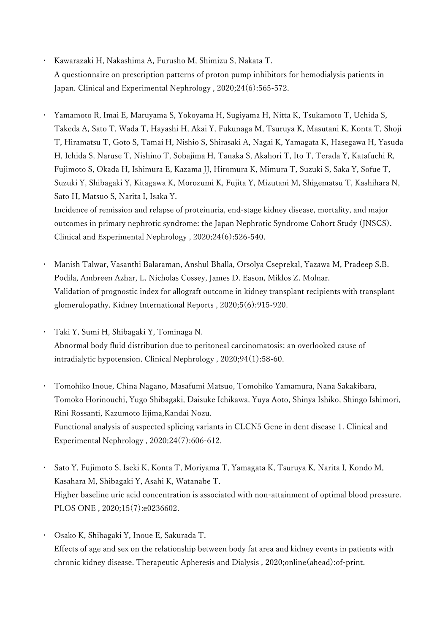- ・ Kawarazaki H, Nakashima A, Furusho M, Shimizu S, Nakata T. A questionnaire on prescription patterns of proton pump inhibitors for hemodialysis patients in Japan. Clinical and Experimental Nephrology , 2020;24(6):565-572.
- Yamamoto R, Imai E, Maruyama S, Yokoyama H, Sugiyama H, Nitta K, Tsukamoto T, Uchida S, Takeda A, Sato T, Wada T, Hayashi H, Akai Y, Fukunaga M, Tsuruya K, Masutani K, Konta T, Shoji T, Hiramatsu T, Goto S, Tamai H, Nishio S, Shirasaki A, Nagai K, Yamagata K, Hasegawa H, Yasuda H, Ichida S, Naruse T, Nishino T, Sobajima H, Tanaka S, Akahori T, Ito T, Terada Y, Katafuchi R, Fujimoto S, Okada H, Ishimura E, Kazama JJ, Hiromura K, Mimura T, Suzuki S, Saka Y, Sofue T, Suzuki Y, Shibagaki Y, Kitagawa K, Morozumi K, Fujita Y, Mizutani M, Shigematsu T, Kashihara N, Sato H, Matsuo S, Narita I, Isaka Y.

Incidence of remission and relapse of proteinuria, end-stage kidney disease, mortality, and major outcomes in primary nephrotic syndrome: the Japan Nephrotic Syndrome Cohort Study (JNSCS). Clinical and Experimental Nephrology , 2020;24(6):526-540.

- ・ Manish Talwar, Vasanthi Balaraman, Anshul Bhalla, Orsolya Cseprekal, Yazawa M, Pradeep S.B. Podila, Ambreen Azhar, L. Nicholas Cossey, James D. Eason, Miklos Z. Molnar. Validation of prognostic index for allograft outcome in kidney transplant recipients with transplant glomerulopathy. Kidney International Reports , 2020;5(6):915-920.
- ・ Taki Y, Sumi H, Shibagaki Y, Tominaga N. Abnormal body fluid distribution due to peritoneal carcinomatosis: an overlooked cause of intradialytic hypotension. Clinical Nephrology , 2020;94(1):58-60.
- ・ Tomohiko Inoue, China Nagano, Masafumi Matsuo, Tomohiko Yamamura, Nana Sakakibara, Tomoko Horinouchi, Yugo Shibagaki, Daisuke Ichikawa, Yuya Aoto, Shinya Ishiko, Shingo Ishimori, Rini Rossanti, Kazumoto Iijima,Kandai Nozu. Functional analysis of suspected splicing variants in CLCN5 Gene in dent disease 1. Clinical and Experimental Nephrology , 2020;24(7):606-612.
- Sato Y, Fujimoto S, Iseki K, Konta T, Moriyama T, Yamagata K, Tsuruya K, Narita I, Kondo M, Kasahara M, Shibagaki Y, Asahi K, Watanabe T. Higher baseline uric acid concentration is associated with non-attainment of optimal blood pressure. PLOS ONE , 2020;15(7):e0236602.
- ・ Osako K, Shibagaki Y, Inoue E, Sakurada T. Effects of age and sex on the relationship between body fat area and kidney events in patients with chronic kidney disease. Therapeutic Apheresis and Dialysis , 2020;online(ahead):of-print.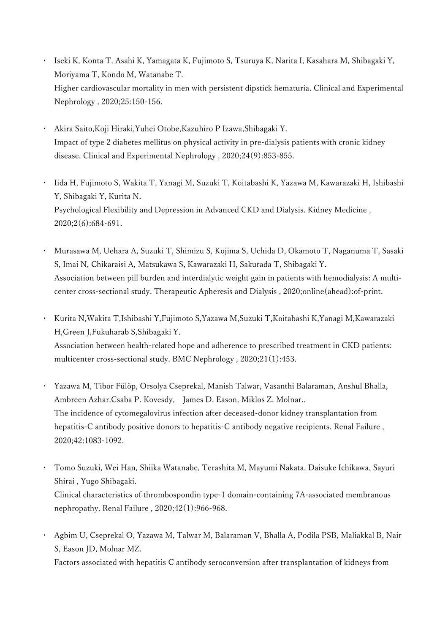- ・ Iseki K, Konta T, Asahi K, Yamagata K, Fujimoto S, Tsuruya K, Narita I, Kasahara M, Shibagaki Y, Moriyama T, Kondo M, Watanabe T. Higher cardiovascular mortality in men with persistent dipstick hematuria. Clinical and Experimental Nephrology , 2020;25:150-156.
- ・ Akira Saito,Koji Hiraki,Yuhei Otobe,Kazuhiro P Izawa,Shibagaki Y. Impact of type 2 diabetes mellitus on physical activity in pre-dialysis patients with cronic kidney disease. Clinical and Experimental Nephrology , 2020;24(9):853-855.
- ・ Iida H, Fujimoto S, Wakita T, Yanagi M, Suzuki T, Koitabashi K, Yazawa M, Kawarazaki H, Ishibashi Y, Shibagaki Y, Kurita N. Psychological Flexibility and Depression in Advanced CKD and Dialysis. Kidney Medicine , 2020;2(6):684-691.
- ・ Murasawa M, Uehara A, Suzuki T, Shimizu S, Kojima S, Uchida D, Okamoto T, Naganuma T, Sasaki S, Imai N, Chikaraisi A, Matsukawa S, Kawarazaki H, Sakurada T, Shibagaki Y. Association between pill burden and interdialytic weight gain in patients with hemodialysis: A multicenter cross-sectional study. Therapeutic Apheresis and Dialysis , 2020;online(ahead):of-print.
- ・ Kurita N,Wakita T,Ishibashi Y,Fujimoto S,Yazawa M,Suzuki T,Koitabashi K,Yanagi M,Kawarazaki H,Green J,Fukuharab S,Shibagaki Y. Association between health-related hope and adherence to prescribed treatment in CKD patients: multicenter cross-sectional study. BMC Nephrology , 2020;21(1):453.
- ・ Yazawa M, Tibor Fülöp, Orsolya Cseprekal, Manish Talwar, Vasanthi Balaraman, Anshul Bhalla, Ambreen Azhar,Csaba P. Kovesdy, James D. Eason, Miklos Z. Molnar.. The incidence of cytomegalovirus infection after deceased-donor kidney transplantation from hepatitis-C antibody positive donors to hepatitis-C antibody negative recipients. Renal Failure , 2020;42:1083-1092.
- ・ Tomo Suzuki, Wei Han, Shiika Watanabe, Terashita M, Mayumi Nakata, Daisuke Ichikawa, Sayuri Shirai , Yugo Shibagaki. Clinical characteristics of thrombospondin type-1 domain-containing 7A-associated membranous nephropathy. Renal Failure , 2020;42(1):966-968.
- ・ Agbim U, Cseprekal O, Yazawa M, Talwar M, Balaraman V, Bhalla A, Podila PSB, Maliakkal B, Nair S, Eason JD, Molnar MZ.

Factors associated with hepatitis C antibody seroconversion after transplantation of kidneys from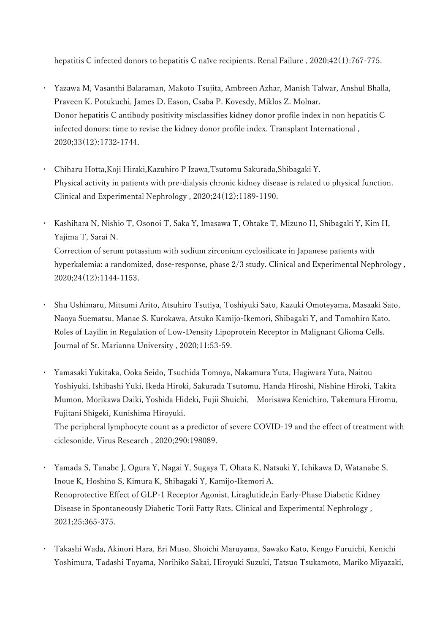hepatitis C infected donors to hepatitis C naïve recipients. Renal Failure , 2020;42(1):767-775.

- ・ Yazawa M, Vasanthi Balaraman, Makoto Tsujita, Ambreen Azhar, Manish Talwar, Anshul Bhalla, Praveen K. Potukuchi, James D. Eason, Csaba P. Kovesdy, Miklos Z. Molnar. Donor hepatitis C antibody positivity misclassifies kidney donor profile index in non hepatitis C infected donors: time to revise the kidney donor profile index. Transplant International , 2020;33(12):1732-1744.
- ・ Chiharu Hotta,Koji Hiraki,Kazuhiro P Izawa,Tsutomu Sakurada,Shibagaki Y. Physical activity in patients with pre-dialysis chronic kidney disease is related to physical function. Clinical and Experimental Nephrology , 2020;24(12):1189-1190.
- Kashihara N, Nishio T, Osonoi T, Saka Y, Imasawa T, Ohtake T, Mizuno H, Shibagaki Y, Kim H, Yajima T, Sarai N. Correction of serum potassium with sodium zirconium cyclosilicate in Japanese patients with hyperkalemia: a randomized, dose-response, phase 2/3 study. Clinical and Experimental Nephrology , 2020;24(12):1144-1153.
- ・ Shu Ushimaru, Mitsumi Arito, Atsuhiro Tsutiya, Toshiyuki Sato, Kazuki Omoteyama, Masaaki Sato, Naoya Suematsu, Manae S. Kurokawa, Atsuko Kamijo-Ikemori, Shibagaki Y, and Tomohiro Kato. Roles of Layilin in Regulation of Low-Density Lipoprotein Receptor in Malignant Glioma Cells. Journal of St. Marianna University , 2020;11:53-59.
- ・ Yamasaki Yukitaka, Ooka Seido, Tsuchida Tomoya, Nakamura Yuta, Hagiwara Yuta, Naitou Yoshiyuki, Ishibashi Yuki, Ikeda Hiroki, Sakurada Tsutomu, Handa Hiroshi, Nishine Hiroki, Takita Mumon, Morikawa Daiki, Yoshida Hideki, Fujii Shuichi, Morisawa Kenichiro, Takemura Hiromu, Fujitani Shigeki, Kunishima Hiroyuki. The peripheral lymphocyte count as a predictor of severe COVID-19 and the effect of treatment with

ciclesonide. Virus Research , 2020;290:198089.

- Yamada S, Tanabe J, Ogura Y, Nagai Y, Sugaya T, Ohata K, Natsuki Y, Ichikawa D, Watanabe S, Inoue K, Hoshino S, Kimura K, Shibagaki Y, Kamijo-Ikemori A. Renoprotective Effect of GLP-1 Receptor Agonist, Liraglutide,in Early-Phase Diabetic Kidney Disease in Spontaneously Diabetic Torii Fatty Rats. Clinical and Experimental Nephrology , 2021;25:365-375.
- ・ Takashi Wada, Akinori Hara, Eri Muso, Shoichi Maruyama, Sawako Kato, Kengo Furuichi, Kenichi Yoshimura, Tadashi Toyama, Norihiko Sakai, Hiroyuki Suzuki, Tatsuo Tsukamoto, Mariko Miyazaki,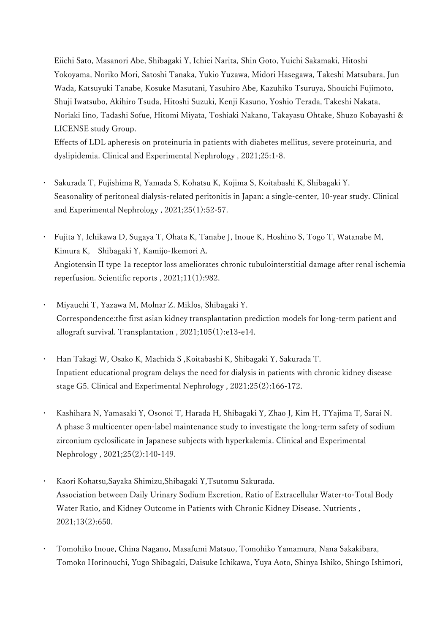Eiichi Sato, Masanori Abe, Shibagaki Y, Ichiei Narita, Shin Goto, Yuichi Sakamaki, Hitoshi Yokoyama, Noriko Mori, Satoshi Tanaka, Yukio Yuzawa, Midori Hasegawa, Takeshi Matsubara, Jun Wada, Katsuyuki Tanabe, Kosuke Masutani, Yasuhiro Abe, Kazuhiko Tsuruya, Shouichi Fujimoto, Shuji Iwatsubo, Akihiro Tsuda, Hitoshi Suzuki, Kenji Kasuno, Yoshio Terada, Takeshi Nakata, Noriaki Iino, Tadashi Sofue, Hitomi Miyata, Toshiaki Nakano, Takayasu Ohtake, Shuzo Kobayashi & LICENSE study Group.

Effects of LDL apheresis on proteinuria in patients with diabetes mellitus, severe proteinuria, and dyslipidemia. Clinical and Experimental Nephrology , 2021;25:1-8.

- ・ Sakurada T, Fujishima R, Yamada S, Kohatsu K, Kojima S, Koitabashi K, Shibagaki Y. Seasonality of peritoneal dialysis-related peritonitis in Japan: a single-center, 10-year study. Clinical and Experimental Nephrology , 2021;25(1):52-57.
- Fujita Y, Ichikawa D, Sugaya T, Ohata K, Tanabe J, Inoue K, Hoshino S, Togo T, Watanabe M, Kimura K, Shibagaki Y, Kamijo-Ikemori A. Angiotensin II type 1a receptor loss ameliorates chronic tubulointerstitial damage after renal ischemia reperfusion. Scientific reports , 2021;11(1):982.
- ・ Miyauchi T, Yazawa M, Molnar Z. Miklos, Shibagaki Y. Correspondence:the first asian kidney transplantation prediction models for long-term patient and allograft survival. Transplantation , 2021;105(1):e13-e14.
- ・ Han Takagi W, Osako K, Machida S ,Koitabashi K, Shibagaki Y, Sakurada T. Inpatient educational program delays the need for dialysis in patients with chronic kidney disease stage G5. Clinical and Experimental Nephrology , 2021;25(2):166-172.
- ・ Kashihara N, Yamasaki Y, Osonoi T, Harada H, Shibagaki Y, Zhao J, Kim H, TYajima T, Sarai N. A phase 3 multicenter open-label maintenance study to investigate the long-term safety of sodium zirconium cyclosilicate in Japanese subjects with hyperkalemia. Clinical and Experimental Nephrology , 2021;25(2):140-149.
- ・ Kaori Kohatsu,Sayaka Shimizu,Shibagaki Y,Tsutomu Sakurada. Association between Daily Urinary Sodium Excretion, Ratio of Extracellular Water-to-Total Body Water Ratio, and Kidney Outcome in Patients with Chronic Kidney Disease. Nutrients , 2021;13(2):650.
- ・ Tomohiko Inoue, China Nagano, Masafumi Matsuo, Tomohiko Yamamura, Nana Sakakibara, Tomoko Horinouchi, Yugo Shibagaki, Daisuke Ichikawa, Yuya Aoto, Shinya Ishiko, Shingo Ishimori,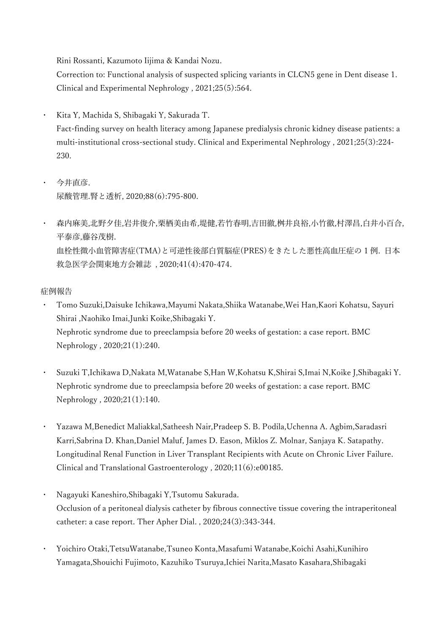Rini Rossanti, Kazumoto Iijima & Kandai Nozu.

Correction to: Functional analysis of suspected splicing variants in CLCN5 gene in Dent disease 1. Clinical and Experimental Nephrology , 2021;25(5):564.

- ・ Kita Y, Machida S, Shibagaki Y, Sakurada T. Fact-finding survey on health literacy among Japanese predialysis chronic kidney disease patients: a multi-institutional cross-sectional study. Clinical and Experimental Nephrology , 2021;25(3):224- 230.
- ・ 今井直彦. 尿酸管理.腎と透析, 2020;88(6):795-800.
- ・ 森内麻美,北野夕佳,岩井俊介,栗栖美由希,堤健,若竹春明,吉田徹,桝井良裕,小竹徹,村澤昌,白井小百合, 平泰彦,藤谷茂樹. 血栓性微小血管障害症(TMA)と可逆性後部白質脳症(PRES)をきたした悪性高血圧症の 1 例. 日本 救急医学会関東地方会雑誌 , 2020;41(4):470-474.

## 症例報告

- ・ Tomo Suzuki,Daisuke Ichikawa,Mayumi Nakata,Shiika Watanabe,Wei Han,Kaori Kohatsu, Sayuri Shirai ,Naohiko Imai,Junki Koike,Shibagaki Y. Nephrotic syndrome due to preeclampsia before 20 weeks of gestation: a case report. BMC Nephrology , 2020;21(1):240.
- ・ Suzuki T,Ichikawa D,Nakata M,Watanabe S,Han W,Kohatsu K,Shirai S,Imai N,Koike J,Shibagaki Y. Nephrotic syndrome due to preeclampsia before 20 weeks of gestation: a case report. BMC Nephrology , 2020;21(1):140.
- Yazawa M,Benedict Maliakkal,Satheesh Nair,Pradeep S. B. Podila,Uchenna A. Agbim,Saradasri Karri,Sabrina D. Khan,Daniel Maluf, James D. Eason, Miklos Z. Molnar, Sanjaya K. Satapathy. Longitudinal Renal Function in Liver Transplant Recipients with Acute on Chronic Liver Failure. Clinical and Translational Gastroenterology , 2020;11(6):e00185.
- ・ Nagayuki Kaneshiro,Shibagaki Y,Tsutomu Sakurada. Occlusion of a peritoneal dialysis catheter by fibrous connective tissue covering the intraperitoneal catheter: a case report. Ther Apher Dial. , 2020;24(3):343-344.
- ・ Yoichiro Otaki,TetsuWatanabe,Tsuneo Konta,Masafumi Watanabe,Koichi Asahi,Kunihiro Yamagata,Shouichi Fujimoto, Kazuhiko Tsuruya,Ichiei Narita,Masato Kasahara,Shibagaki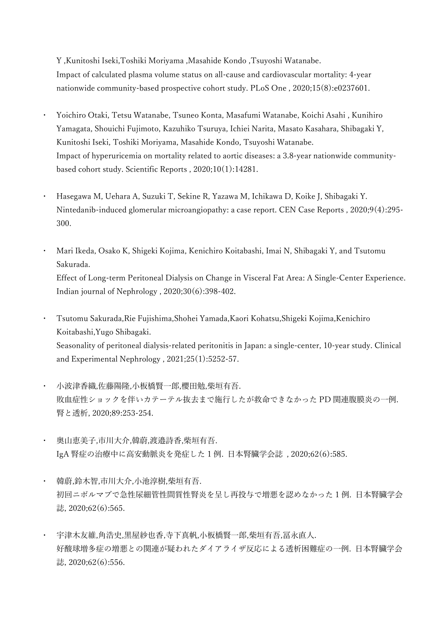Y ,Kunitoshi Iseki,Toshiki Moriyama ,Masahide Kondo ,Tsuyoshi Watanabe. Impact of calculated plasma volume status on all-cause and cardiovascular mortality: 4-year nationwide community-based prospective cohort study. PLoS One , 2020;15(8):e0237601.

- ・ Yoichiro Otaki, Tetsu Watanabe, Tsuneo Konta, Masafumi Watanabe, Koichi Asahi , Kunihiro Yamagata, Shouichi Fujimoto, Kazuhiko Tsuruya, Ichiei Narita, Masato Kasahara, Shibagaki Y, Kunitoshi Iseki, Toshiki Moriyama, Masahide Kondo, Tsuyoshi Watanabe. Impact of hyperuricemia on mortality related to aortic diseases: a 3.8-year nationwide communitybased cohort study. Scientific Reports , 2020;10(1):14281.
- ・ Hasegawa M, Uehara A, Suzuki T, Sekine R, Yazawa M, Ichikawa D, Koike J, Shibagaki Y. Nintedanib-induced glomerular microangiopathy: a case report. CEN Case Reports , 2020;9(4):295- 300.
- ・ Mari Ikeda, Osako K, Shigeki Kojima, Kenichiro Koitabashi, Imai N, Shibagaki Y, and Tsutomu Sakurada. Effect of Long-term Peritoneal Dialysis on Change in Visceral Fat Area: A Single-Center Experience.

Indian journal of Nephrology , 2020;30(6):398-402.

- ・ Tsutomu Sakurada,Rie Fujishima,Shohei Yamada,Kaori Kohatsu,Shigeki Kojima,Kenichiro Koitabashi,Yugo Shibagaki. Seasonality of peritoneal dialysis-related peritonitis in Japan: a single-center, 10-year study. Clinical and Experimental Nephrology , 2021;25(1):5252-57.
- ・ 小波津香織,佐藤陽隆,小板橋賢一郎,櫻田勉,柴垣有吾. 敗血症性ショックを伴いカテーテル抜去まで施行したが救命できなかった PD 関連腹膜炎の一例. 腎と透析, 2020;89:253-254.
- ・ 奥山恵美子,市川大介,韓蔚,渡邉詩香,柴垣有吾. IgA 腎症の治療中に高安動脈炎を発症した 1 例. 日本腎臓学会誌 , 2020;62(6):585.
- ・ 韓蔚,鈴木智,市川大介,小池淳樹,柴垣有吾. 初回ニボルマブで急性尿細管性間質性腎炎を呈し再投与で増悪を認めなかった 1 例. 日本腎臓学会 誌, 2020;62(6):565.
- 宇津木友維,角浩史,黒屋紗也香,寺下真帆,小板橋賢一郎,柴垣有吾,冨永直人. 好酸球増多症の増悪との関連が疑われたダイアライザ反応による透析困難症の一例. 日本腎臓学会 誌, 2020;62(6):556.